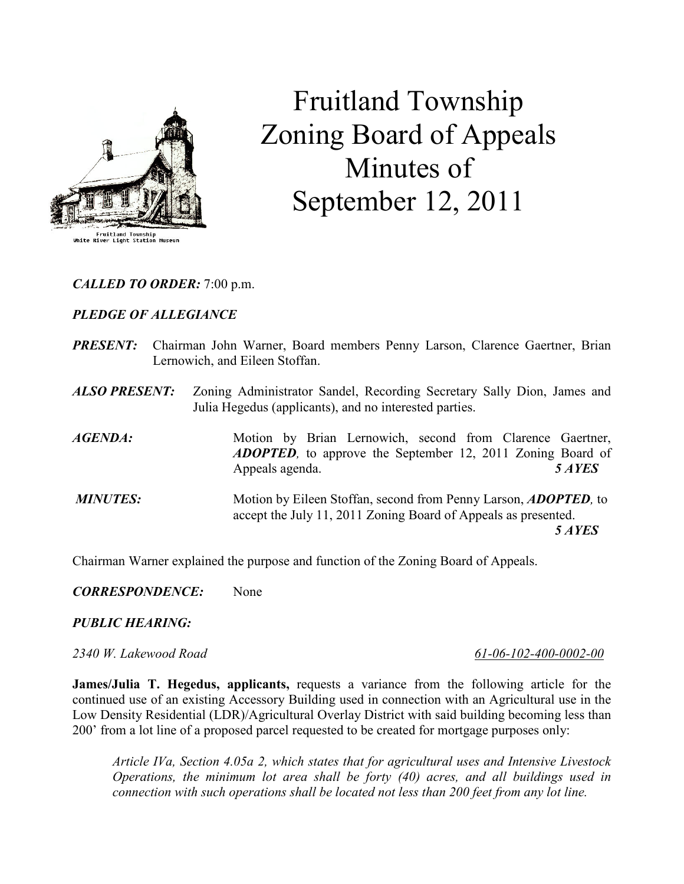

# Fruitland Township Zoning Board of Appeals Minutes of September 12, 2011

## CALLED TO ORDER: 7:00 p.m.

## PLEDGE OF ALLEGIANCE

- PRESENT: Chairman John Warner, Board members Penny Larson, Clarence Gaertner, Brian Lernowich, and Eileen Stoffan.
- ALSO PRESENT: Zoning Administrator Sandel, Recording Secretary Sally Dion, James and Julia Hegedus (applicants), and no interested parties.

AGENDA: Motion by Brian Lernowich, second from Clarence Gaertner, ADOPTED, to approve the September 12, 2011 Zoning Board of Appeals agenda. 5 AYES MINUTES: Motion by Eileen Stoffan, second from Penny Larson, ADOPTED, to accept the July 11, 2011 Zoning Board of Appeals as presented.

5 AYES

Chairman Warner explained the purpose and function of the Zoning Board of Appeals.

CORRESPONDENCE: None

#### PUBLIC HEARING:

#### 2340 W. Lakewood Road 61-06-102-400-0002-00

James/Julia T. Hegedus, applicants, requests a variance from the following article for the continued use of an existing Accessory Building used in connection with an Agricultural use in the Low Density Residential (LDR)/Agricultural Overlay District with said building becoming less than 200' from a lot line of a proposed parcel requested to be created for mortgage purposes only:

Article IVa, Section 4.05a 2, which states that for agricultural uses and Intensive Livestock Operations, the minimum lot area shall be forty (40) acres, and all buildings used in connection with such operations shall be located not less than 200 feet from any lot line.